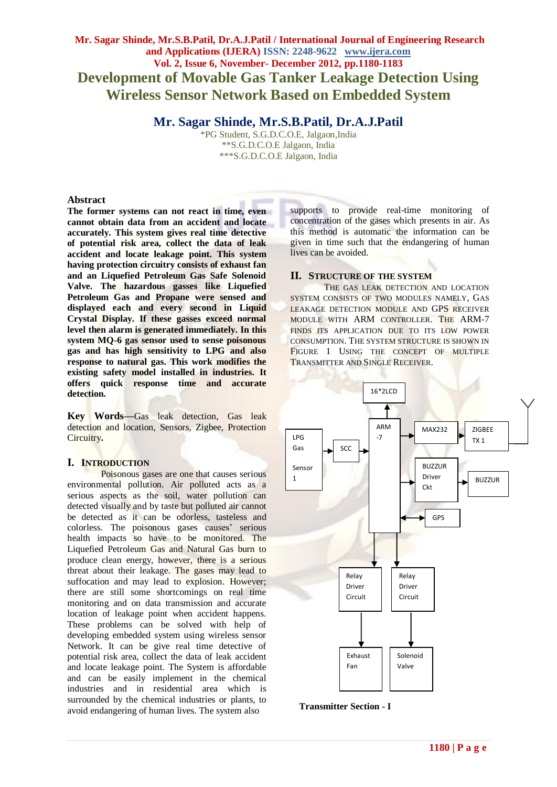# **Mr. Sagar Shinde, Mr.S.B.Patil, Dr.A.J.Patil / International Journal of Engineering Research and Applications (IJERA) ISSN: 2248-9622 www.ijera.com Vol. 2, Issue 6, November- December 2012, pp.1180-1183 Development of Movable Gas Tanker Leakage Detection Using Wireless Sensor Network Based on Embedded System**

# **Mr. Sagar Shinde, Mr.S.B.Patil, Dr.A.J.Patil**

\*PG Student, S.G.D.C.O.E, Jalgaon,India \*\*S.G.D.C.O.E Jalgaon, India \*\*\*S.G.D.C.O.E Jalgaon, India

# **Abstract**

**The former systems can not react in time, even cannot obtain data from an accident and locate accurately. This system gives real time detective of potential risk area, collect the data of leak accident and locate leakage point. This system having protection circuitry consists of exhaust fan and an Liquefied Petroleum Gas Safe Solenoid Valve. The hazardous gasses like Liquefied Petroleum Gas and Propane were sensed and displayed each and every second in Liquid Crystal Display. If these gasses exceed normal level then alarm is generated immediately. In this system MQ-6 gas sensor used to sense poisonous gas and has high sensitivity to LPG and also response to natural gas. This work modifies the existing safety model installed in industries. It offers quick response time and accurate detection.**

**Key Words—**Gas leak detection, Gas leak detection and location, Sensors, Zigbee, Protection Circuitry**.**

# **I. INTRODUCTION**

Poisonous gases are one that causes serious environmental pollution. Air polluted acts as a serious aspects as the soil, water pollution can detected visually and by taste but polluted air cannot be detected as it can be odorless, tasteless and colorless. The poisonous gases causes' serious health impacts so have to be monitored. The Liquefied Petroleum Gas and Natural Gas burn to produce clean energy, however, there is a serious threat about their leakage. The gases may lead to suffocation and may lead to explosion. However; there are still some shortcomings on real time monitoring and on data transmission and accurate location of leakage point when accident happens. These problems can be solved with help of developing embedded system using wireless sensor Network. It can be give real time detective of potential risk area, collect the data of leak accident and locate leakage point. The System is affordable and can be easily implement in the chemical industries and in residential area which is surrounded by the chemical industries or plants, to avoid endangering of human lives. The system also

supports to provide real-time monitoring of concentration of the gases which presents in air. As this method is automatic the information can be given in time such that the endangering of human lives can be avoided.

# **II. STRUCTURE OF THE SYSTEM**

THE GAS LEAK DETECTION AND LOCATION SYSTEM CONSISTS OF TWO MODULES NAMELY, GAS LEAKAGE DETECTION MODULE AND GPS RECEIVER MODULE WITH ARM CONTROLLER. THE ARM-7 FINDS ITS APPLICATION DUE TO ITS LOW POWER CONSUMPTION. THE SYSTEM STRUCTURE IS SHOWN IN FIGURE 1 USING THE CONCEPT OF MULTIPLE TRANSMITTER AND SINGLE RECEIVER.



**Transmitter Section - I** D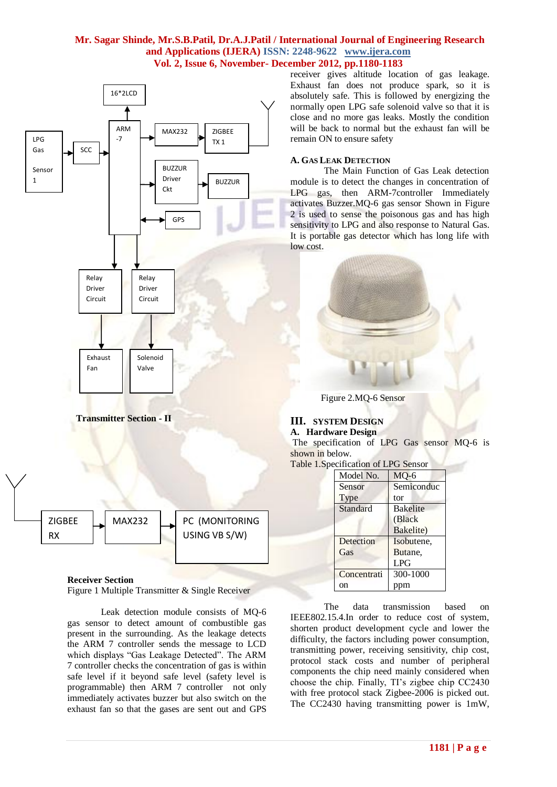## **Mr. Sagar Shinde, Mr.S.B.Patil, Dr.A.J.Patil / International Journal of Engineering Research and Applications (IJERA) ISSN: 2248-9622 www.ijera.com Vol. 2, Issue 6, November- December 2012, pp.1180-1183**



### **Receiver Section**

Figure 1 Multiple Transmitter & Single Receiver

Leak detection module consists of MQ-6 gas sensor to detect amount of combustible gas present in the surrounding. As the leakage detects the ARM 7 controller sends the message to LCD which displays "Gas Leakage Detected". The ARM 7 controller checks the concentration of gas is within safe level if it beyond safe level (safety level is programmable) then ARM 7 controller not only immediately activates buzzer but also switch on the exhaust fan so that the gases are sent out and GPS

receiver gives altitude location of gas leakage. Exhaust fan does not produce spark, so it is absolutely safe. This is followed by energizing the normally open LPG safe solenoid valve so that it is close and no more gas leaks. Mostly the condition will be back to normal but the exhaust fan will be remain ON to ensure safety

### **A. GAS LEAK DETECTION**

The Main Function of Gas Leak detection module is to detect the changes in concentration of LPG gas, then ARM-7controller Immediately activates Buzzer.MQ-6 gas sensor Shown in Figure 2 is used to sense the poisonous gas and has high sensitivity to LPG and also response to Natural Gas. It is portable gas detector which has long life with low cost.



Figure 2.MQ-6 Sensor

#### **III. SYSTEM DESIGN A. Hardware Design**

The specification of LPG Gas sensor MQ-6 is shown in below.

|  | Table 1. Specification of LPG Sensor |  |  |
|--|--------------------------------------|--|--|
|--|--------------------------------------|--|--|

| Model No.   | $MO-6$          |  |  |
|-------------|-----------------|--|--|
| Sensor      | Semiconduc      |  |  |
| Type        | tor             |  |  |
| Standard    | <b>Bakelite</b> |  |  |
|             | (Black)         |  |  |
|             | Bakelite)       |  |  |
| Detection   | Isobutene,      |  |  |
| Gas         | Butane,         |  |  |
|             | <b>LPG</b>      |  |  |
| Concentrati | 300-1000        |  |  |
| on          |                 |  |  |

The data transmission based on IEEE802.15.4.In order to reduce cost of system, shorten product development cycle and lower the difficulty, the factors including power consumption, transmitting power, receiving sensitivity, chip cost, protocol stack costs and number of peripheral components the chip need mainly considered when choose the chip. Finally, TI's zigbee chip CC2430 with free protocol stack Zigbee-2006 is picked out. The CC2430 having transmitting power is 1mW,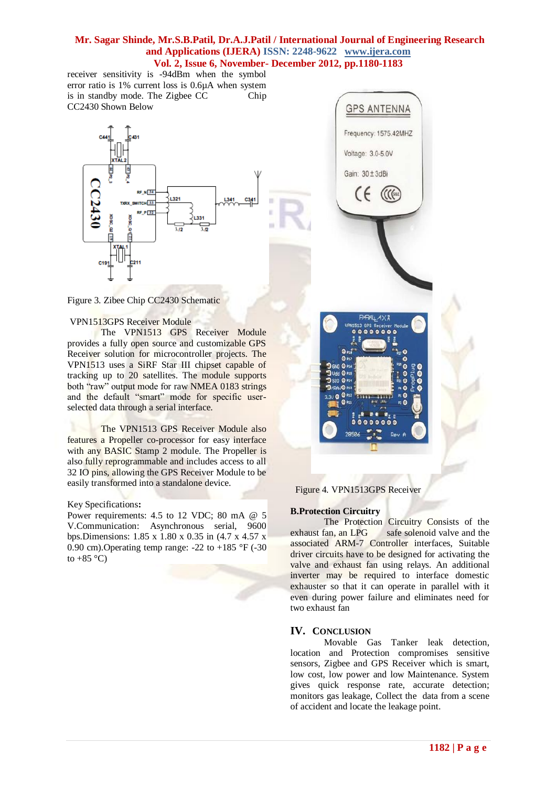## **Mr. Sagar Shinde, Mr.S.B.Patil, Dr.A.J.Patil / International Journal of Engineering Research and Applications (IJERA) ISSN: 2248-9622 www.ijera.com Vol. 2, Issue 6, November- December 2012, pp.1180-1183**

receiver sensitivity is -94dBm when the symbol error ratio is 1% current loss is 0.6µA when system is in standby mode. The Zigbee CC Chip CC2430 Shown Below





#### VPN1513GPS Receiver Module

The VPN1513 GPS Receiver Module provides a fully open source and customizable GPS Receiver solution for microcontroller projects. The VPN1513 uses a SiRF Star III chipset capable of tracking up to 20 satellites. The module supports both "raw" output mode for raw NMEA 0183 strings and the default "smart" mode for specific userselected data through a serial interface.

The VPN1513 GPS Receiver Module also features a Propeller co-processor for easy interface with any BASIC Stamp 2 module. The Propeller is also fully reprogrammable and includes access to all 32 IO pins, allowing the GPS Receiver Module to be easily transformed into a standalone device.

#### Key Specifications**:**

Power requirements: 4.5 to 12 VDC; 80 mA @ 5 V.Communication: Asynchronous serial, 9600 bps.Dimensions: 1.85 x 1.80 x 0.35 in (4.7 x 4.57 x 0.90 cm). Operating temp range:  $-22$  to  $+185$  °F ( $-30$ ) to  $+85$  °C)



Figure 4*.* VPN1513GPS Receiver

#### **B.Protection Circuitry**

The Protection Circuitry Consists of the exhaust fan, an LPG safe solenoid valve and the associated ARM-7 Controller interfaces, Suitable driver circuits have to be designed for activating the valve and exhaust fan using relays. An additional inverter may be required to interface domestic exhauster so that it can operate in parallel with it even during power failure and eliminates need for two exhaust fan

#### **IV. CONCLUSION**

Movable Gas Tanker leak detection, location and Protection compromises sensitive sensors, Zigbee and GPS Receiver which is smart, low cost, low power and low Maintenance. System gives quick response rate, accurate detection; monitors gas leakage, Collect the data from a scene of accident and locate the leakage point.